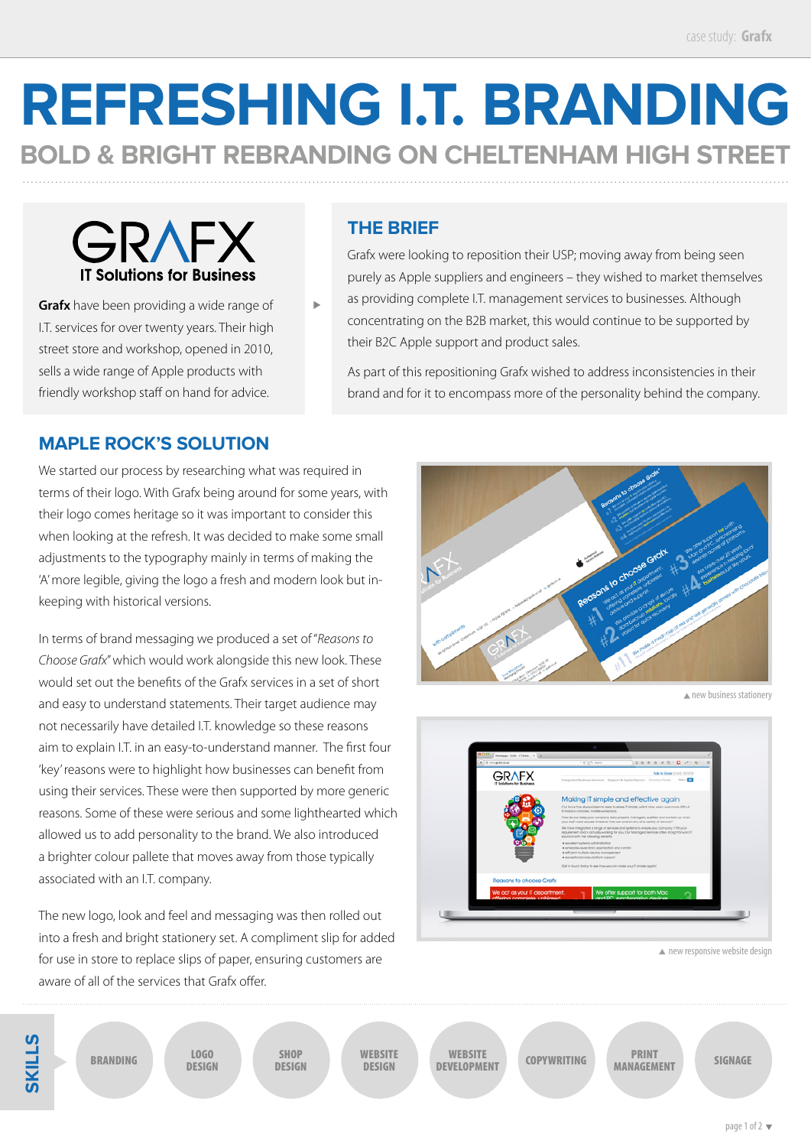## **REFRESHING I.T. BRANDING BOLD & BRIGHT REBRANDING ON CHELTENHAM HIGH STREET**

GRAFX **IT Solutions for Business** 

**Grafx** have been providing a wide range of I.T. services for over twenty years. Their high street store and workshop, opened in 2010, sells a wide range of Apple products with friendly workshop staff on hand for advice.

## **THE BRIEF**

Ĺ.

Grafx were looking to reposition their USP; moving away from being seen purely as Apple suppliers and engineers – they wished to market themselves

as providing complete I.T. management services to businesses. Although concentrating on the B2B market, this would continue to be supported by their B2C Apple support and product sales.

As part of this repositioning Grafx wished to address inconsistencies in their brand and for it to encompass more of the personality behind the company.

## **MAPLE ROCK'S SOLUTION**

We started our process by researching what was required in terms of their logo. With Grafx being around for some years, with their logo comes heritage so it was important to consider this when looking at the refresh. It was decided to make some small adjustments to the typography mainly in terms of making the 'A' more legible, giving the logo a fresh and modern look but inkeeping with historical versions.

In terms of brand messaging we produced a set of "*Reasons to Choose Grafx*" which would work alongside this new look. These would set out the benefits of the Grafx services in a set of short and easy to understand statements. Their target audience may not necessarily have detailed I.T. knowledge so these reasons aim to explain I.T. in an easy-to-understand manner. The first four 'key' reasons were to highlight how businesses can benefit from using their services. These were then supported by more generic reasons. Some of these were serious and some lighthearted which allowed us to add personality to the brand. We also introduced a brighter colour pallete that moves away from those typically associated with an I.T. company.

The new logo, look and feel and messaging was then rolled out into a fresh and bright stationery set. A compliment slip for added for use in store to replace slips of paper, ensuring customers are aware of all of the services that Grafx offer.



**A** new business stationery



**A** new responsive website design

**SKILLS**

LOGO DESIGN

ERANDING LOGO SHOP WEBSITE DESIGN

WEBSITE<br>DEVELOPMENT DEVELOPMENT COPYWRITING SHOP DESIGN DEVELOPMENT COPYWRITING MANAGEMENT SIGNAGE

PRINT **MANAGEMENT**